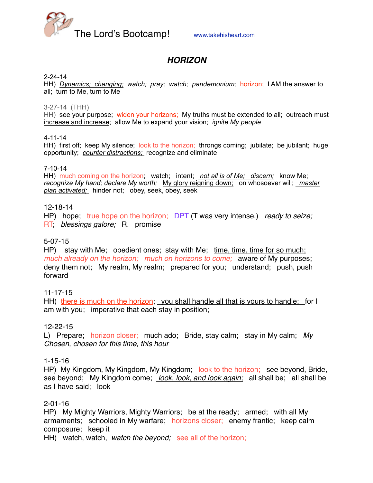

# *HORIZON*

#### 2-24-14

HH) *Dynamics; changing; watch; pray; watch; pandemonium;* horizon; I AM the answer to all; turn to Me, turn to Me

3-27-14 (THH)

HH) see your purpose; widen your horizons; My truths must be extended to all; outreach must increase and increase; allow Me to expand your vision; *ignite My people*

4-11-14

HH) first off; keep My silence; look to the horizon; throngs coming; jubilate; be jubilant; huge opportunity; *counter distractions;* recognize and eliminate

#### 7-10-14

HH) much coming on the horizon; watch; intent; *not all is of Me; discern;* know Me; *recognize My hand; declare My worth;* My glory reigning down; on whosoever will; *master plan activated;* hinder not; obey, seek, obey, seek

#### 12-18-14

HP) hope; true hope on the horizon; DPT (T was very intense.) *ready to seize;*  RT; *blessings galore;* R. promise

### 5-07-15

HP) stay with Me; obedient ones; stay with Me; time, time, time for so much; *much already on the horizon; much on horizons to come;* aware of My purposes; deny them not; My realm, My realm; prepared for you; understand; push, push forward

11-17-15

HH) there is much on the horizon; you shall handle all that is yours to handle; for I am with you; imperative that each stay in position;

#### 12-22-15

L) Prepare; horizon closer; much ado; Bride, stay calm; stay in My calm; *My Chosen, chosen for this time, this hour*

#### 1-15-16

HP) My Kingdom, My Kingdom, My Kingdom; look to the horizon; see beyond, Bride, see beyond; My Kingdom come; *look, look, and look again;* all shall be; all shall be as I have said; look

#### 2-01-16

HP) My Mighty Warriors, Mighty Warriors; be at the ready; armed; with all My armaments; schooled in My warfare; horizons closer; enemy frantic; keep calm composure; keep it

HH) watch, watch, *watch the beyond;* see all of the horizon;